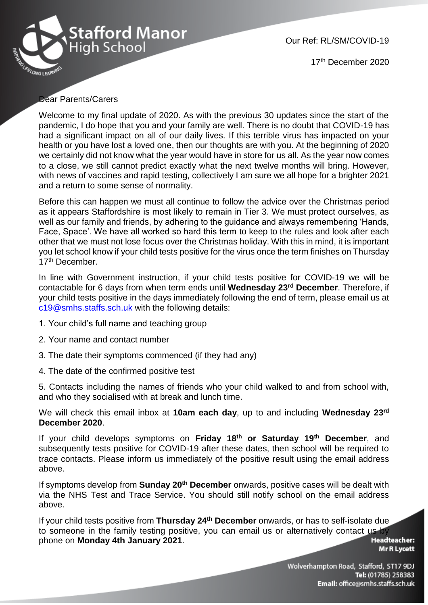

Our Ref: RL/SM/COVID-19

17th December 2020

## Dear Parents/Carers

Welcome to my final update of 2020. As with the previous 30 updates since the start of the pandemic, I do hope that you and your family are well. There is no doubt that COVID-19 has had a significant impact on all of our daily lives. If this terrible virus has impacted on your health or you have lost a loved one, then our thoughts are with you. At the beginning of 2020 we certainly did not know what the year would have in store for us all. As the year now comes to a close, we still cannot predict exactly what the next twelve months will bring. However, with news of vaccines and rapid testing, collectively I am sure we all hope for a brighter 2021 and a return to some sense of normality.

Before this can happen we must all continue to follow the advice over the Christmas period as it appears Staffordshire is most likely to remain in Tier 3. We must protect ourselves, as well as our family and friends, by adhering to the guidance and always remembering 'Hands, Face, Space'. We have all worked so hard this term to keep to the rules and look after each other that we must not lose focus over the Christmas holiday. With this in mind, it is important you let school know if your child tests positive for the virus once the term finishes on Thursday 17<sup>th</sup> December.

In line with Government instruction, if your child tests positive for COVID-19 we will be contactable for 6 days from when term ends until **Wednesday 23 rd December**. Therefore, if your child tests positive in the days immediately following the end of term, please email us at [c19@smhs.staffs.sch.uk](mailto:c19@smhs.staffs.sch.uk) with the following details:

- 1. Your child's full name and teaching group
- 2. Your name and contact number
- 3. The date their symptoms commenced (if they had any)
- 4. The date of the confirmed positive test

5. Contacts including the names of friends who your child walked to and from school with, and who they socialised with at break and lunch time.

We will check this email inbox at **10am each day**, up to and including **Wednesday 23rd December 2020**.

If your child develops symptoms on **Friday 18th or Saturday 19th December**, and subsequently tests positive for COVID-19 after these dates, then school will be required to trace contacts. Please inform us immediately of the positive result using the email address above.

If symptoms develop from **Sunday 20th December** onwards, positive cases will be dealt with via the NHS Test and Trace Service. You should still notify school on the email address above.

If your child tests positive from **Thursday 24th December** onwards, or has to self-isolate due to someone in the family testing positive, you can email us or alternatively contact us by phone on **Monday 4th January 2021**.

**Headteacher: Mr R Lycett** 

Wolverhampton Road, Stafford, ST17 9DJ Tel: (01785) 258383 Email: office@smhs.staffs.sch.uk